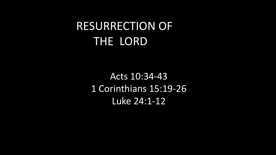## RESURRECTION OF THE LORD

Acts 10:34-43 1 Corinthians 15:19-26 Luke 24:1-12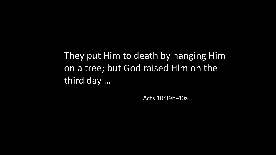They put Him to death by hanging Him on a tree; but God raised Him on the third day …

Acts 10:39b-40a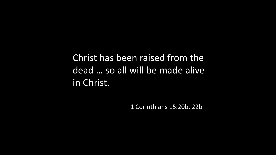Christ has been raised from the dead … so all will be made alive in Christ.

1 Corinthians 15:20b, 22b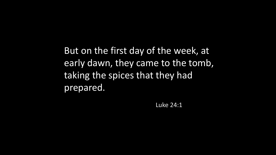But on the first day of the week, at early dawn, they came to the tomb, taking the spices that they had prepared.

Luke 24:1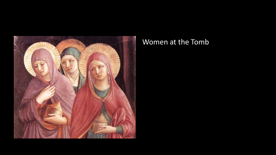

## Women at the Tomb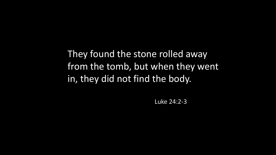They found the stone rolled away from the tomb, but when they went in, they did not find the body.

Luke 24:2-3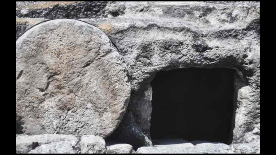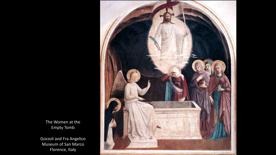

The Women at the Empty Tomb

Gozzoli and Fra Angelico Museum of San Marco Florence, Italy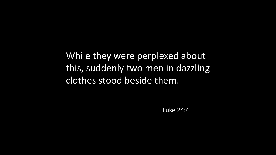While they were perplexed about this, suddenly two men in dazzling clothes stood beside them.

Luke 24:4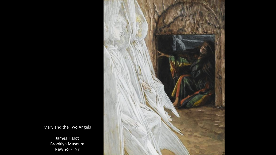

James Tissot Brooklyn Museum New York, NY

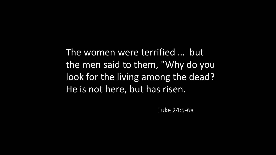The women were terrified … but the men said to them, "Why do you look for the living among the dead? He is not here, but has risen.

Luke 24:5-6a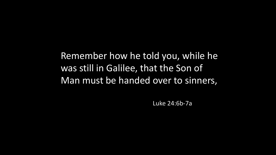Remember how he told you, while he was still in Galilee, that the Son of Man must be handed over to sinners,

Luke 24:6b-7a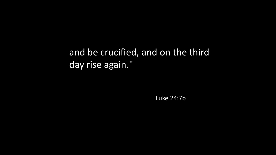and be crucified, and on the third day rise again."

Luke 24:7b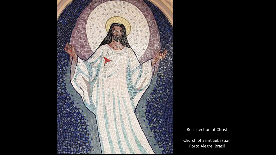

Resurrection of Christ

Church of Saint Sebastian Porto Alegre, Brazil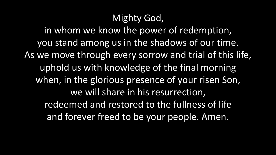## Mighty God,

in whom we know the power of redemption, you stand among us in the shadows of our time. As we move through every sorrow and trial of this life, uphold us with knowledge of the final morning when, in the glorious presence of your risen Son, we will share in his resurrection, redeemed and restored to the fullness of life and forever freed to be your people. Amen.